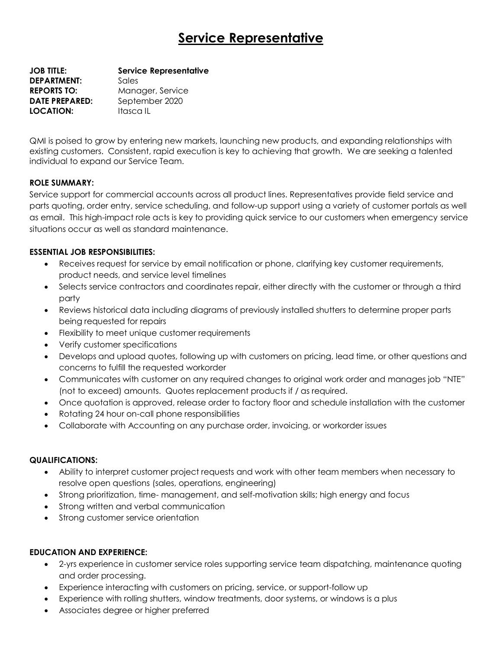# **Service Representative**

**JOB TITLE: Service Representative DEPARTMENT:** Sales **REPORTS TO:** Manager, Service **DATE PREPARED:** September 2020 **LOCATION:** Itasca IL

QMI is poised to grow by entering new markets, launching new products, and expanding relationships with existing customers. Consistent, rapid execution is key to achieving that growth. We are seeking a talented individual to expand our Service Team.

# **ROLE SUMMARY:**

Service support for commercial accounts across all product lines. Representatives provide field service and parts quoting, order entry, service scheduling, and follow-up support using a variety of customer portals as well as email. This high-impact role acts is key to providing quick service to our customers when emergency service situations occur as well as standard maintenance.

# **ESSENTIAL JOB RESPONSIBILITIES:**

- Receives request for service by email notification or phone, clarifying key customer requirements, product needs, and service level timelines
- Selects service contractors and coordinates repair, either directly with the customer or through a third party
- Reviews historical data including diagrams of previously installed shutters to determine proper parts being requested for repairs
- Flexibility to meet unique customer requirements
- Verify customer specifications
- Develops and upload quotes, following up with customers on pricing, lead time, or other questions and concerns to fulfill the requested workorder
- Communicates with customer on any required changes to original work order and manages job "NTE" (not to exceed) amounts. Quotes replacement products if / as required.
- Once quotation is approved, release order to factory floor and schedule installation with the customer
- Rotating 24 hour on-call phone responsibilities
- Collaborate with Accounting on any purchase order, invoicing, or workorder issues

# **QUALIFICATIONS:**

- Ability to interpret customer project requests and work with other team members when necessary to resolve open questions (sales, operations, engineering)
- Strong prioritization, time- management, and self-motivation skills; high energy and focus
- Strong written and verbal communication
- Strong customer service orientation

# **EDUCATION AND EXPERIENCE:**

- 2-yrs experience in customer service roles supporting service team dispatching, maintenance quoting and order processing.
- Experience interacting with customers on pricing, service, or support-follow up
- Experience with rolling shutters, window treatments, door systems, or windows is a plus
- Associates degree or higher preferred